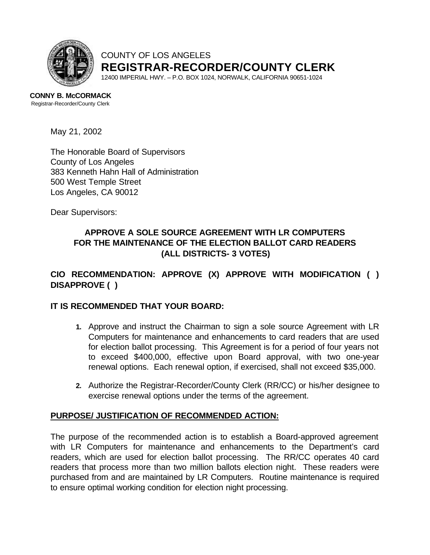

# COUNTY OF LOS ANGELES **REGISTRAR-RECORDER/COUNTY CLERK**

12400 IMPERIAL HWY. – P.O. BOX 1024, NORWALK, CALIFORNIA 90651-1024

**CONNY B. McCORMACK** Registrar-Recorder/County Clerk

May 21, 2002

The Honorable Board of Supervisors County of Los Angeles 383 Kenneth Hahn Hall of Administration 500 West Temple Street Los Angeles, CA 90012

Dear Supervisors:

# **APPROVE A SOLE SOURCE AGREEMENT WITH LR COMPUTERS FOR THE MAINTENANCE OF THE ELECTION BALLOT CARD READERS (ALL DISTRICTS- 3 VOTES)**

# **CIO RECOMMENDATION: APPROVE (X) APPROVE WITH MODIFICATION ( ) DISAPPROVE ( )**

### **IT IS RECOMMENDED THAT YOUR BOARD:**

- **1.** Approve and instruct the Chairman to sign a sole source Agreement with LR Computers for maintenance and enhancements to card readers that are used for election ballot processing. This Agreement is for a period of four years not to exceed \$400,000, effective upon Board approval, with two one-year renewal options. Each renewal option, if exercised, shall not exceed \$35,000.
- **2.** Authorize the Registrar-Recorder/County Clerk (RR/CC) or his/her designee to exercise renewal options under the terms of the agreement.

### **PURPOSE/ JUSTIFICATION OF RECOMMENDED ACTION:**

The purpose of the recommended action is to establish a Board-approved agreement with LR Computers for maintenance and enhancements to the Department's card readers, which are used for election ballot processing. The RR/CC operates 40 card readers that process more than two million ballots election night. These readers were purchased from and are maintained by LR Computers. Routine maintenance is required to ensure optimal working condition for election night processing.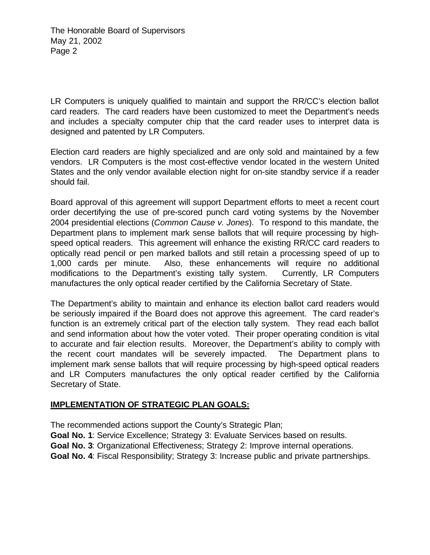LR Computers is uniquely qualified to maintain and support the RR/CC's election ballot card readers. The card readers have been customized to meet the Department's needs and includes a specialty computer chip that the card reader uses to interpret data is designed and patented by LR Computers.

Election card readers are highly specialized and are only sold and maintained by a few vendors. LR Computers is the most cost-effective vendor located in the western United States and the only vendor available election night for on-site standby service if a reader should fail.

Board approval of this agreement will support Department efforts to meet a recent court order decertifying the use of pre-scored punch card voting systems by the November 2004 presidential elections (*Common Cause v. Jones*). To respond to this mandate, the Department plans to implement mark sense ballots that will require processing by highspeed optical readers. This agreement will enhance the existing RR/CC card readers to optically read pencil or pen marked ballots and still retain a processing speed of up to 1,000 cards per minute. Also, these enhancements will require no additional modifications to the Department's existing tally system. Currently, LR Computers manufactures the only optical reader certified by the California Secretary of State.

The Department's ability to maintain and enhance its election ballot card readers would be seriously impaired if the Board does not approve this agreement. The card reader's function is an extremely critical part of the election tally system. They read each ballot and send information about how the voter voted. Their proper operating condition is vital to accurate and fair election results. Moreover, the Department's ability to comply with the recent court mandates will be severely impacted. The Department plans to implement mark sense ballots that will require processing by high-speed optical readers and LR Computers manufactures the only optical reader certified by the California Secretary of State.

## **IMPLEMENTATION OF STRATEGIC PLAN GOALS:**

The recommended actions support the County's Strategic Plan;

- **Goal No. 1**: Service Excellence; Strategy 3: Evaluate Services based on results.
- **Goal No. 3**: Organizational Effectiveness; Strategy 2: Improve internal operations.
- **Goal No. 4**: Fiscal Responsibility; Strategy 3: Increase public and private partnerships.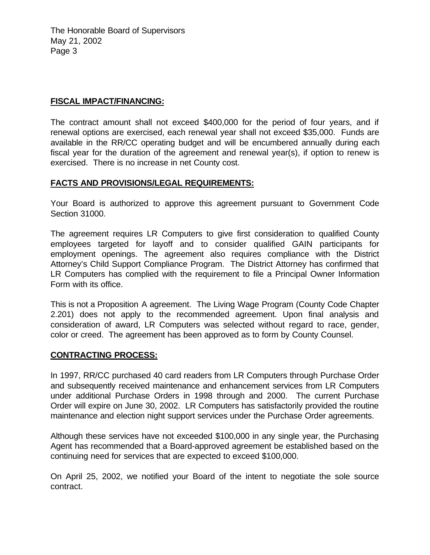The Honorable Board of Supervisors May 21, 2002 Page 3

## **FISCAL IMPACT/FINANCING:**

The contract amount shall not exceed \$400,000 for the period of four years, and if renewal options are exercised, each renewal year shall not exceed \$35,000. Funds are available in the RR/CC operating budget and will be encumbered annually during each fiscal year for the duration of the agreement and renewal year(s), if option to renew is exercised. There is no increase in net County cost.

## **FACTS AND PROVISIONS/LEGAL REQUIREMENTS:**

Your Board is authorized to approve this agreement pursuant to Government Code Section 31000.

The agreement requires LR Computers to give first consideration to qualified County employees targeted for layoff and to consider qualified GAIN participants for employment openings. The agreement also requires compliance with the District Attorney's Child Support Compliance Program. The District Attorney has confirmed that LR Computers has complied with the requirement to file a Principal Owner Information Form with its office.

This is not a Proposition A agreement. The Living Wage Program (County Code Chapter 2.201) does not apply to the recommended agreement. Upon final analysis and consideration of award, LR Computers was selected without regard to race, gender, color or creed. The agreement has been approved as to form by County Counsel.

### **CONTRACTING PROCESS:**

In 1997, RR/CC purchased 40 card readers from LR Computers through Purchase Order and subsequently received maintenance and enhancement services from LR Computers under additional Purchase Orders in 1998 through and 2000. The current Purchase Order will expire on June 30, 2002. LR Computers has satisfactorily provided the routine maintenance and election night support services under the Purchase Order agreements.

Although these services have not exceeded \$100,000 in any single year, the Purchasing Agent has recommended that a Board-approved agreement be established based on the continuing need for services that are expected to exceed \$100,000.

On April 25, 2002, we notified your Board of the intent to negotiate the sole source contract.